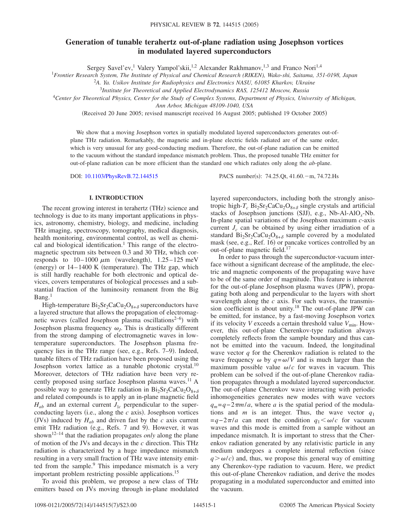# **Generation of tunable terahertz out-of-plane radiation using Josephson vortices in modulated layered superconductors**

Sergey Savel'ev,<sup>1</sup> Valery Yampol'skii,<sup>1,2</sup> Alexander Rakhmanov,<sup>1,3</sup> and Franco Nori<sup>1,4</sup>

<sup>1</sup>*Frontier Research System, The Institute of Physical and Chemical Research (RIKEN), Wako-shi, Saitama, 351-0198, Japan*

2 *A. Ya. Usikov Institute for Radiophysics and Electronics NASU, 61085 Kharkov, Ukraine*

<sup>3</sup>*Institute for Theoretical and Applied Electrodynamics RAS, 125412 Moscow, Russia*

<sup>4</sup>*Center for Theoretical Physics, Center for the Study of Complex Systems, Department of Physics, University of Michigan,*

*Ann Arbor, Michigan 48109-1040, USA*

(Received 20 June 2005; revised manuscript received 16 August 2005; published 19 October 2005)

We show that a moving Josephson vortex in spatially modulated layered superconductors generates out-ofplane THz radiation. Remarkably, the magnetic and in-plane electric fields radiated are of the same order, which is very unusual for any good-conducting medium. Therefore, the out-of-plane radiation can be emitted to the vacuum without the standard impedance mismatch problem. Thus, the proposed tunable THz emitter for out-of-plane radiation can be more efficient than the standard one which radiates only along the *ab*-plane.

DOI: [10.1103/PhysRevB.72.144515](http://dx.doi.org/10.1103/PhysRevB.72.144515)

PACS number(s): 74.25.Qt, 41.60. - m, 74.72.Hs

## **I. INTRODUCTION**

The recent growing interest in terahertz (THz) science and technology is due to its many important applications in physics, astronomy, chemistry, biology, and medicine, including THz imaging, spectroscopy, tomography, medical diagnosis, health monitoring, environmental control, as well as chemical and biological identification.<sup>1</sup> This range of the electromagnetic spectrum sits between 0.3 and 30 THz, which corresponds to  $10-1000 \mu m$  (wavelength),  $1.25-125 \text{ meV}$ (energy) or 14-1400 K (temperature). The THz gap, which is still hardly reachable for both electronic and optical devices, covers temperatures of biological processes and a substantial fraction of the luminosity remanent from the Big  $Bang.<sup>1</sup>$ 

High-temperature  $Bi_2Sr_2CaCu_2O_{8+\delta}$  superconductors have a layered structure that allows the propagation of electromagnetic waves (called Josephson plasma oscillations<sup>2-6</sup>) with Josephson plasma frequency  $\omega_L$ . This is drastically different from the strong damping of electromagnetic waves in lowtemperature superconductors. The Josephson plasma frequency lies in the THz range (see, e.g., Refs. 7-9). Indeed, tunable filters of THz radiation have been proposed using the Josephson vortex lattice as a tunable photonic crystal.<sup>10</sup> Moreover, detectors of THz radiation have been very recently proposed using surface Josephson plasma waves.<sup>11</sup> A possible way to generate THz radiation in  $Bi_2Sr_2CaCu_2O_{8+\delta}$ and related compounds is to apply an in-plane magnetic field  $H_{ab}$  and an external current  $J_{\parallel c}$  perpendicular to the superconducting layers (i.e., along the  $c$  axis). Josephson vortices (JVs) induced by  $H_{ab}$  and driven fast by the  $c$  axis current emit THz radiation (e.g., Refs. 7 and 9). However, it was shown12–14 that the radiation propagates *only* along the plane of motion of the JVs and decays in the *c* direction. This THz radiation is characterized by a huge impedance mismatch resulting in a very small fraction of THz wave intensity emitted from the sample.<sup>9</sup> This impedance mismatch is a very important problem restricting possible applications.15

To avoid this problem, we propose a new class of THz emitters based on JVs moving through in-plane modulated layered superconductors, including both the strongly anisotropic high- $T_c$  Bi<sub>2</sub>Sr<sub>2</sub>CaCu<sub>2</sub>O<sub>8+ $\delta$ </sub> single crystals and artificial stacks of Josephson junctions (SJJ), e.g., Nb-Al-AlO<sub>x</sub>-Nb. In-plane spatial variations of the Josephson maximum *c*-axis current  $J_c$  can be obtained by using either irradiation of a standard  $Bi_2Sr_2CaCu_2O_{8+\delta}$  sample covered by a modulated mask (see, e.g., Ref. 16) or pancake vortices controlled by an out-of-plane magnetic field.<sup>17</sup>

In order to pass through the superconductor-vacuum interface without a significant decrease of the amplitude, the electric and magnetic components of the propagating wave have to be of the same order of magnitude. This feature is inherent for the out-of-plane Josephson plasma waves (JPW), propagating both along and perpendicular to the layers with short wavelength along the *c* axis. For such waves, the transmission coefficient is about unity.18 The out-of-plane JPW can be emitted, for instance, by a fast-moving Josephson vortex if its velocity *V* exceeds a certain threshold value  $V_{\text{min}}$ . However, this out-of-plane Cherenkov-type radiation always completely reflects from the sample boundary and thus cannot be emitted into the vacuum. Indeed, the longitudinal wave vector *q* for the Cherenkov radiation is related to the wave frequency  $\omega$  by  $q = \omega/V$  and is much larger than the maximum possible value  $\omega/c$  for waves in vacuum. This problem can be solved if the out-of-plane Cherenkov radiation propagates through a modulated layered superconductor. The out-of-plane Cherenkov wave interacting with periodic inhomogeneities generates new modes with wave vectors  $q_m = q - 2\pi m/a$ , where *a* is the spatial period of the modulations and *m* is an integer. Thus, the wave vector  $q_1$  $=q-2\pi/a$  can meet the condition  $q_1<\omega/c$  for vacuum waves and this mode is emitted from a sample without an impedance mismatch. It is important to stress that the Cherenkov radiation generated by any relativistic particle in any medium undergoes a complete internal reflection (since  $q > \omega/c$ ) and, thus, we propose this general way of emitting any Cherenkov-type radiation to vacuum. Here, we predict this out-of-plane Cherenkov radiation, and derive the modes propagating in a modulated superconductor and emitted into the vacuum.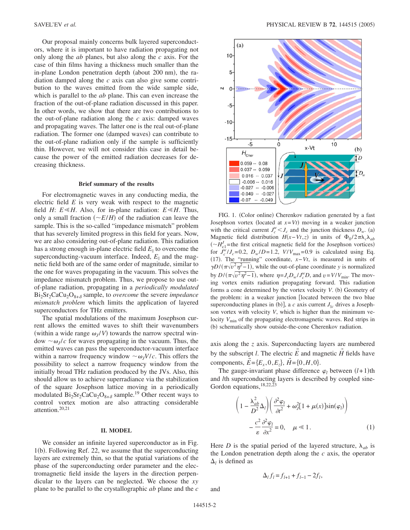Our proposal mainly concerns bulk layered superconductors, where it is important to have radiation propagating not only along the *ab* planes, but also along the *c* axis. For the case of thin films having a thickness much smaller than the in-plane London penetration depth (about 200 nm), the radiation damped along the *c* axis can also give some contribution to the waves emitted from the wide sample side, which is parallel to the *ab* plane. This can even increase the fraction of the out-of-plane radiation discussed in this paper. In other words, we show that there are two contributions to the out-of-plane radiation along the *c* axis: damped waves and propagating waves. The latter one is the real out-of-plane radiation. The former one (damped waves) can contribute to the out-of-plane radiation only if the sample is sufficiently thin. However, we will not consider this case in detail because the power of the emitted radiation decreases for decreasing thickness.

#### **Brief summary of the results**

For electromagnetic waves in any conducting media, the electric field *E* is very weak with respect to the magnetic field *H*:  $E \le H$ . Also, for in-plane radiation:  $E \le H$ . Thus, only a small fraction  $\left(\frac{\alpha E}{H}\right)$  of the radiation can leave the sample. This is the so-called "impedance mismatch" problem that has severely limited progress in this field for years. Now, we are also considering out-of-plane radiation. This radiation has a strong enough in-plane electric field  $E_{\parallel}$  to overcome the superconducting-vacuum interface. Indeed,  $E_{\parallel}$  and the magnetic field both are of the same order of magnitude, similar to the one for waves propagating in the vacuum. This solves the impedance mismatch problem. Thus, we propose to use outof-plane radiation, propagating in a *periodically modulated*  $Bi<sub>2</sub>Sr<sub>2</sub>CaCu<sub>2</sub>O<sub>8+\delta</sub>$  sample, to *overcome* the severe *impedance mismatch problem* which limits the application of layered superconductors for THz emitters.

The spatial modulations of the maximum Josephson current allows the emitted waves to shift their wavenumbers (within a wide range  $\omega_J / V$ ) towards the narrow spectral window  $\sim \omega_l/c$  for waves propagating in the vacuum. Thus, the emitted waves can pass the superconductor-vacuum interface within a narrow frequency window  $\sim \omega_I V/c$ . This offers the possibility to select a narrow frequency window from the initially broad THz radiation produced by the JVs. Also, this should allow us to achieve superradiance via the stabilization of the square Josephson lattice moving in a periodically modulated  $Bi_2Sr_2CaCu_2O_{8+\delta}$  sample.<sup>19</sup> Other recent ways to control vortex motion are also attracting considerable attention.20,21

### **II. MODEL**

We consider an infinite layered superconductor as in Fig. 1(b). Following Ref. 22, we assume that the superconducting layers are extremely thin, so that the spatial variations of the phase of the superconducting order parameter and the electromagnetic field inside the layers in the direction perpendicular to the layers can be neglected. We choose the *xy* plane to be parallel to the crystallographic *ab* plane and the *c*



FIG. 1. (Color online) Cherenkov radiation generated by a fast Josephson vortex (located at  $x = Vt$ ) moving in a weaker junction with the critical current  $J_c^w$   $\lt J_c$  and the junction thickness  $D_w$ . (a) Magnetic field distribution  $H(x-Vt,z)$  in units of  $\Phi_0/2\pi\lambda_c\lambda_{ab}$  $(\sim H_{c1}^J$  =the first critical magnetic field for the Josephson vortices) for  $J_c^{\hat{w}}/J_c = 0.2$ ,  $D_w/D = 1.2$ ,  $V/V_{\text{max}} = 0.9$  is calculated using Eq. 17-. The "running" coordinate, *x*−*Vt*, is measured in units of  $\gamma D/(\pi \sqrt{v^2 \eta^2 - 1})$ , while the out-of-plane coordinate *y* is normalized by  $D/(\pi\sqrt{v^2\eta^2-1})$ , where  $\eta = J_c D_w/J_c^w D$ , and  $v = V/V_{\text{min}}$ . The moving vortex emits radiation propagating forward. This radiation forms a cone determined by the vortex velocity *V*. (b) Geometry of the problem: in a weaker junction [located between the two blue superconducting planes in (b)], a *c* axis current  $J_{\parallel c}$  drives a Josephson vortex with velocity *V*, which is higher than the minimum velocity  $V_{\text{min}}$  of the propagating electromagnetic waves. Red strips in (b) schematically show outside-the-cone Cherenkov radiation.

axis along the *z* axis. Superconducting layers are numbered by the subscript *l*. The electric  $\vec{E}$  and magnetic  $\vec{H}$  fields have components,  $\vec{E} = \{E_x, 0, E_z\}, \vec{H} = \{0, H, 0\}.$ 

The gauge-invariant phase difference  $\varphi_l$  between  $(l+1)$ th and *l*th superconducting layers is described by coupled sine-Gordon equations,  $18,22,23$ 

$$
\left(1 - \frac{\lambda_{ab}^2}{D^2} \Delta_l \right) \left( \frac{\partial^2 \varphi_l}{\partial t^2} + \omega_J^2 [1 + \mu(x)] \sin(\varphi_l) \right) - \frac{c^2}{\varepsilon} \frac{\partial^2 \varphi_l}{\partial x^2} = 0, \quad \mu \ll 1.
$$
\n(1)

Here *D* is the spatial period of the layered structure,  $\lambda_{ab}$  is the London penetration depth along the *c* axis, the operator  $\Delta$ *l* is defined as

$$
\Delta_l f_l = f_{l+1} + f_{l-1} - 2f_l,
$$

and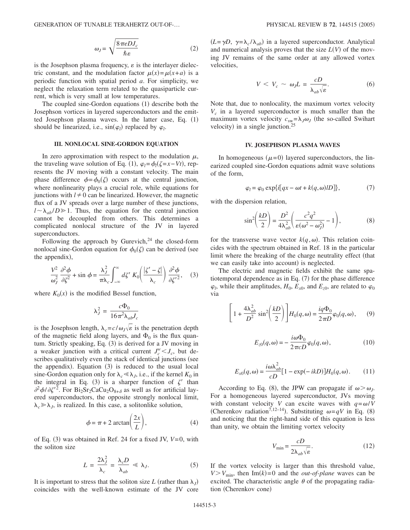GENERATION OF TUNABLE TERAHERTZ OUT-OF-...

$$
\omega_J = \sqrt{\frac{8\pi e D J_c}{\hbar \varepsilon}}\tag{2}
$$

is the Josephson plasma frequency,  $\varepsilon$  is the interlayer dielectric constant, and the modulation factor  $\mu(x) = \mu(x+a)$  is a periodic function with spatial period *a*. For simplicity, we neglect the relaxation term related to the quasiparticle current, which is very small at low temperatures.

The coupled sine-Gordon equations (1) describe both the Josephson vortices in layered superconductors and the emitted Josephson plasma waves. In the latter case, Eq. (1) should be linearized, i.e.,  $sin(\varphi_l)$  replaced by  $\varphi_l$ .

#### **III. NONLOCAL SINE-GORDON EQUATION**

In zero approximation with respect to the modulation  $\mu$ , the traveling wave solution of Eq. (1),  $\varphi_l = \phi_l(\zeta = x - Vt)$ , represents the JV moving with a constant velocity. The main phase difference  $\phi = \phi_0(\zeta)$  occurs at the central junction, where nonlinearity plays a crucial role, while equations for junctions with  $l \neq 0$  can be linearized. However, the magnetic flux of a JV spreads over a large number of these junctions,  $l \sim \lambda_{ab}/D \ge 1$ . Thus, the equation for the central junction cannot be decoupled from others. This determines a complicated nonlocal structure of the JV in layered superconductors.

Following the approach by Gurevich, $24$  the closed-form nonlocal sine-Gordon equation for  $\phi_0(\zeta)$  can be derived (see the appendix),

$$
\frac{V^2}{\omega_J^2} \frac{\partial^2 \phi}{\partial \zeta^2} + \sin \phi = \frac{\lambda_J^2}{\pi \lambda_c} \int_{-\infty}^{\infty} d\zeta' K_0 \left( \frac{|\zeta' - \zeta|}{\lambda_c} \right) \frac{\partial^2 \phi}{\partial \zeta'^2}, \quad (3)
$$

where  $K_0(x)$  is the modified Bessel function,

$$
\lambda_J^2 = \frac{c\Phi_0}{16\pi^2 \lambda_{ab} J_c}
$$

is the Josephson length,  $\lambda_c = c/\omega_J \sqrt{\epsilon}$  is the penetration depth of the magnetic field along layers, and  $\Phi_0$  is the flux quantum. Strictly speaking, Eq. (3) is derived for a JV moving in a weaker junction with a critical current  $J_c^w < J_c$ , but describes qualitatively even the stack of identical junctions (see the appendix). Equation (3) is reduced to the usual local sine-Gordon equation only for  $\lambda_c \ll \lambda_J$ , i.e., if the kernel  $K_0$  in the integral in Eq. (3) is a sharper function of  $\zeta'$  than  $\partial^2 \phi / \partial \zeta'^2$ . For Bi<sub>2</sub>Sr<sub>2</sub>CaCu<sub>2</sub>O<sub>8+ $\delta$ </sub> as well as for artificial layered superconductors, the opposite strongly nonlocal limit,  $\lambda_c \gg \lambda_J$ , is realized. In this case, a solitonlike solution,

$$
\phi = \pi + 2 \arctan\left(\frac{2x}{L}\right),\tag{4}
$$

of Eq.  $(3)$  was obtained in Ref. 24 for a fixed JV,  $V=0$ , with the soliton size

$$
L = \frac{2\lambda_J^2}{\lambda_c} = \frac{\lambda_c D}{\lambda_{ab}} \ll \lambda_J.
$$
 (5)

It is important to stress that the soliton size *L* (rather than  $\lambda_j$ ) coincides with the well-known estimate of the JV core

 $(L = \gamma D, \gamma = \lambda_c / \lambda_{ab})$  in a layered superconductor. Analytical and numerical analysis proves that the size  $L(V)$  of the moving JV remains of the same order at any allowed vortex velocities,

$$
V < V_c \sim \omega_J L = \frac{cD}{\lambda_{ab}\sqrt{\varepsilon}}.\tag{6}
$$

Note that, due to nonlocality, the maximum vortex velocity  $V_c$  in a layered superconductor is much smaller than the maximum vortex velocity  $c_{sw} = \lambda_J \omega_J$  (the so-called Swihart velocity) in a single junction.<sup>25</sup>

#### **IV. JOSEPHSON PLASMA WAVES**

In homogeneous  $(\mu=0)$  layered superconductors, the linearized coupled sine-Gordon equations admit wave solutions of the form,

$$
\varphi_l = \varphi_0 \exp\{i[qx - \omega t + k(q, \omega)lD]\},\tag{7}
$$

with the dispersion relation,

$$
\sin^2\left(\frac{kD}{2}\right) = \frac{D^2}{4\lambda_{ab}^2} \left(\frac{c^2q^2}{\varepsilon(\omega^2 - \omega_J^2)} - 1\right),\tag{8}
$$

for the transverse wave vector  $k(q, \omega)$ . This relation coincides with the spectrum obtained in Ref. 18 in the particular limit where the breaking of the charge neutrality effect (that we can easily take into account) is neglected.

The electric and magnetic fields exhibit the same spatiotemporal dependence as in Eq.  $(7)$  for the phase difference  $\varphi_l$ , while their amplitudes,  $H_0$ ,  $E_{x0}$ , and  $E_{z0}$ , are related to  $\varphi_0$ via

$$
\left[1+\frac{4\lambda_{ab}^2}{D^2}\sin^2\left(\frac{kD}{2}\right)\right]H_0(q,\omega)=\frac{iq\Phi_0}{2\pi D}\varphi_0(q,\omega),\qquad(9)
$$

$$
E_{z0}(q,\omega) = -\frac{i\omega\Phi_0}{2\pi cD}\varphi_0(q,\omega),\tag{10}
$$

$$
E_{x0}(q,\omega) = \frac{i\omega\lambda_{ab}^2}{cD} [1 - \exp(-ikD)] H_0(q,\omega).
$$
 (11)

According to Eq. (8), the JPW can propagate if  $\omega > \omega_J$ . For a homogeneous layered superconductor, JVs moving with constant velocity *V* can excite waves with  $q = \omega/V$ (Cherenkov radiation<sup>7,12-14</sup>). Substituting  $\omega = qV$  in Eq. (8) and noticing that the right-hand side of this equation is less than unity, we obtain the limiting vortex velocity

$$
V_{\min} = \frac{cD}{2\lambda_{ab}\sqrt{\varepsilon}}.\tag{12}
$$

If the vortex velocity is larger than this threshold value,  $V > V_{\text{min}}$ , then Im(k)=0 and the *out-of-plane* waves can be excited. The characteristic angle  $\theta$  of the propagating radiation (Cherenkov cone)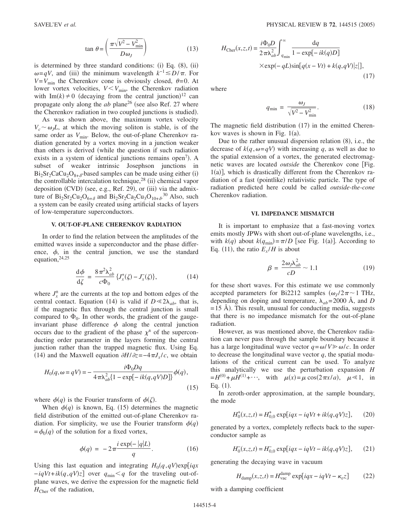$$
\tan \theta = \left(\frac{\pi \sqrt{V^2 - V_{\text{min}}^2}}{D \omega_J}\right) \tag{13}
$$

is determined by three standard conditions: (i) Eq.  $(8)$ ,  $(ii)$  $\omega = qV$ , and (iii) the minimum wavelength  $k^{-1} \le D/\pi$ . For  $V=V_{\text{min}}$  the Cherenkov cone is obviously closed,  $\theta=0$ . At lower vortex velocities,  $V < V_{\text{min}}$ , the Cherenkov radiation with Im(k)  $\neq$  0 (decaying from the central junction)<sup>12</sup> can propagate only along the  $ab$  plane<sup>26</sup> (see also Ref. 27 where the Cherenkov radiation in two coupled junctions is studied).

As was shown above, the maximum vortex velocity  $V_c \sim \omega_l L$ , at which the moving soliton is stable, is of the same order as  $V_{\text{min}}$ . Below, the out-of-plane Cherenkov radiation generated by a vortex moving in a junction weaker than others is derived (while the question if such radiation exists in a system of identical junctions remains open<sup>7</sup>). A subset of weaker intrinsic Josephson junctions in  $Bi_2Sr_2CaCu_2O_{8+\delta}$ -based samples can be made using either (i) the controllable intercalation technique,<sup>28</sup> (ii) chemical vapor deposition (CVD) (see, e.g., Ref. 29), or (iii) via the admixture of  $Bi_2Sr_2Cu_2O_{6+\delta}$  and  $Bi_2Sr_2Ca_2Cu_3O_{10+\delta}$ .<sup>30</sup> Also, such a system can be easily created using artificial stacks of layers of low-temperature superconductors.

### **V. OUT-OF-PLANE CHERENKOV RADIATION**

In order to find the relation between the amplitudes of the emitted waves inside a superconductor and the phase difference,  $\phi$ , in the central junction, we use the standard equation,24,25

$$
\frac{\mathrm{d}\phi}{\mathrm{d}\zeta} = \frac{8\,\pi^2\lambda_{ab}^2}{c\Phi_0} \left\{ J_x^{\dagger}(\zeta) - J_x(\zeta) \right\},\tag{14}
$$

where  $J_x^{\pm}$  are the currents at the top and bottom edges of the central contact. Equation (14) is valid if  $D \ll 2\lambda_{ab}$ , that is, if the magnetic flux through the central junction is small compared to  $\Phi_0$ . In other words, the gradient of the gaugeinvariant phase difference  $\phi$  along the central junction occurs due to the gradient of the phase  $\chi^{\pm}$  of the superconducting order parameter in the layers forming the central junction rather than the trapped magnetic flux. Using Eq. (14) and the Maxwell equation  $\partial H/\partial z = -4\pi J_x/c$ , we obtain

$$
H_0(q, \omega = qV) = -\frac{i\Phi_0 Dq}{4\pi\lambda_{ab}^2 \{1 - \exp[-ik(q, qV)D]\}} \phi(q),
$$
\n(15)

where  $\phi(q)$  is the Fourier transform of  $\phi(\zeta)$ .

When  $\phi(q)$  is known, Eq. (15) determines the magnetic field distribution of the emitted out-of-plane Cherenkov radiation. For simplicity, we use the Fourier transform  $\phi(q)$  $=\phi_0(q)$  of the solution for a fixed vortex,

$$
\phi(q) = -2\pi \frac{i \exp(-|q|L)}{q}.\tag{16}
$$

Using this last equation and integrating  $H_0(q, qV)$ exp[iqx  $-iqVt + ik(q, qV)z$  over  $q_{min} < q$  for the traveling out-ofplane waves, we derive the expression for the magnetic field  $H_{\text{Cher}}$  of the radiation,

$$
H_{\text{Cher}}(x, z, t) = \frac{i\Phi_0 D}{2\pi\lambda_{ab}^2} \int_{q_{\text{min}}}^{\infty} \frac{\text{d}q}{1 - \exp[-ik(q)D]}
$$

$$
\times \exp(-qL)\sin[q(x - Vt) + k(q, qV)|z|],
$$
\n(17)

where

$$
q_{\min} = \frac{\omega_J}{\sqrt{V^2 - V_{\min}^2}}.\tag{18}
$$

The magnetic field distribution (17) in the emitted Cherenkov waves is shown in Fig.  $1(a)$ .

Due to the rather unusual dispersion relation  $(8)$ , i.e., the decrease of  $k(q, \omega=qV)$  with increasing q, as well as due to the spatial extension of a vortex, the generated electromagnetic waves are located *outside* the Cherenkov cone [Fig. 1(a)], which is drastically different from the Cherenkov radiation of a fast (pointlike) relativistic particle. The type of radiation predicted here could be called *outside-the-cone* Cherenkov radiation.

#### **VI. IMPEDANCE MISMATCH**

It is important to emphasize that a fast-moving vortex emits mostly JPWs with short out-of-plane wavelengths, i.e., with  $k(q)$  about  $k(q_{\text{min}}) = \pi/D$  [see Fig. 1(a)]. According to Eq. (11), the ratio  $E_x/H$  is about

$$
\beta = \frac{2\omega_j \lambda_{ab}^2}{cD} \sim 1.1\tag{19}
$$

for these short waves. For this estimate we use commonly accepted parameters for Bi2212 samples  $(\omega_I/2\pi \sim 1 \text{ THz})$ , depending on doping and temperature,  $\lambda_{ab} = 2000 \text{ Å}$ , and *D*  $=$  15 Å). This result, unusual for conducting media, suggests that there is no impedance mismatch for the out-of-plane radiation.

However, as was mentioned above, the Cherenkov radiation can never pass through the sample boundary because it has a large longitudinal wave vector  $q = \omega/V \gg \omega/c$ . In order to decrease the longitudinal wave vector *q*, the spatial modulations of the critical current can be used. To analyze this analytically we use the perturbation expansion *H*  $= H^{(0)} + \mu H^{(1)} + \cdots$ , with  $\mu(x) = \mu \cos(2\pi x/a)$ ,  $\mu \ll 1$ , in Eq.  $(1)$ .

In zeroth-order approximation, at the sample boundary, the mode

$$
H_0^+(x, z, t) = H_{0,0}^+ \exp[iqx - iqVt + ik(q, qV)z], \qquad (20)
$$

generated by a vortex, completely reflects back to the superconductor sample as

$$
H_0(x, z, t) = H_{0,0}^- \exp[iqx - iqVt - ik(q, qV)z], \qquad (21)
$$

generating the decaying wave in vacuum

$$
H_{\text{damp}}(x, z, t) = H_{\text{vac}}^{\text{damp}} \exp[iqx - iqVt - \kappa_v z] \tag{22}
$$

with a damping coefficient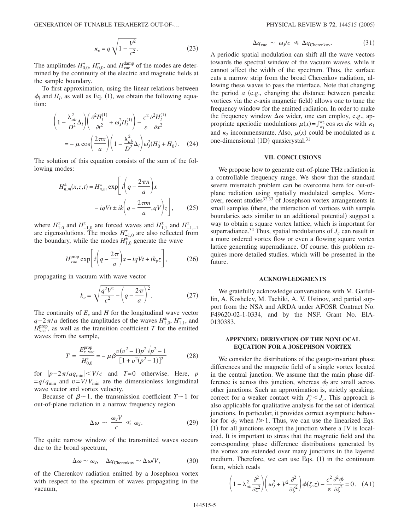$$
\kappa_v = q \sqrt{1 - \frac{V^2}{c^2}}.\tag{23}
$$

The amplitudes  $H_{0,0}^+$ ,  $H_{0,0}^-$ , and  $H_{\text{vac}}^{\text{damp}}$  of the modes are determined by the continuity of the electric and magnetic fields at the sample boundary.

To first approximation, using the linear relations between  $\phi_l$  and  $H_l$ , as well as Eq. (1), we obtain the following equation:

$$
\left(1 - \frac{\lambda_{ab}^2}{D^2} \Delta_l \right) \left( \frac{\partial^2 H_l^{(1)}}{\partial t^2} + \omega_J^2 H_l^{(1)} \right) - \frac{c^2}{\varepsilon} \frac{\partial^2 H_l^{(1)}}{\partial x^2}
$$

$$
= -\mu \cos \left( \frac{2\pi x}{a} \right) \left( 1 - \frac{\lambda_{ab}^2}{D^2} \Delta_l \right) \omega_J^2 (H_0^+ + H_0^-). \quad (24)
$$

The solution of this equation consists of the sum of the following modes:

$$
H_{n,m}^{\pm}(x,z,t) = H_{n,m}^{\pm} \exp\left[i\left(q - \frac{2\pi m}{a}\right)x\right] - iqVt \pm ik\left(q - \frac{2\pi m}{a}, qV\right)z\right],
$$
 (25)

where  $H_{1,0}^{\pm}$  and  $H_{-1,0}^{\pm}$  are forced waves and  $H_{1,1}^{\pm}$  and  $H_{-1,-1}^{\pm}$ are eigensolutions. The modes  $H^{\pm}_{-1,0}$  are also reflected from the boundary, while the modes  $H_{1,0}^{\pm}$  generate the wave

$$
H_{\text{vac}}^{\text{prop}} \exp\left[i\left(q - \frac{2\pi}{a}\right)x - iqVt + ik_{v}z\right],\tag{26}
$$

propagating in vacuum with wave vector

$$
k_v = \sqrt{\frac{q^2 V^2}{c^2} - \left(q - \frac{2\pi}{a}\right)^2}.
$$
 (27)

The continuity of  $E_x$  and  $H$  for the longitudinal wave vector  $q-2\pi/a$  defines the amplitudes of the waves  $H_{1,0}^{\pm}$ ,  $H_{1,1}^{-}$ , and  $\hat{H}_{\text{vac}}^{\text{prop}}$ , as well as the transition coefficient *T* for the emitted waves from the sample,

$$
T = \frac{E_{x \text{ vac}}^{\text{prop}}}{H_{0,0}^{+}} = -\mu \beta \frac{v(v^{2} - 1)p^{2}\sqrt{p^{2} - 1}}{[1 + v^{2}(p^{2} - 1)]^{2}}
$$
(28)

for  $|p-2\pi/aq_{\min}| < V/c$  and  $T=0$  otherwise. Here, *p*  $=q/q_{\text{min}}$  and  $v=V/V_{\text{min}}$  are the dimensionless longitudinal wave vector and vortex velocity.

Because of  $\beta \sim 1$ , the transmission coefficient  $T \sim 1$  for out-of-plane radiation in a narrow frequency region

$$
\Delta \omega \sim \frac{\omega_J V}{c} \ll \omega_J. \tag{29}
$$

The quite narrow window of the transmitted waves occurs due to the broad spectrum,

$$
\Delta \omega \sim \omega_J, \quad \Delta q_{\text{Cherenkov}} \sim \Delta \omega / V, \tag{30}
$$

of the Cherenkov radiation emitted by a Josephson vortex with respect to the spectrum of waves propagating in the vacuum,

$$
\Delta q_{\rm vac} \sim \omega_J/c \ll \Delta q_{\rm Cherenkov}.\tag{31}
$$

A periodic spatial modulation can shift all the wave vectors towards the spectral window of the vacuum waves, while it cannot affect the width of the spectrum. Thus, the surface cuts a narrow strip from the broad Cherenkov radiation, allowing these waves to pass the interface. Note that changing the period  $a$  (e.g., changing the distance between pancake vortices via the *c*-axis magnetic field) allows one to tune the frequency window for the emitted radiation. In order to make the frequency window  $\Delta\omega$  wider, one can employ, e.g., appropriate aperiodic modulations  $\mu(x) = \int_{\kappa_1}^{\kappa_2} \cos \kappa x \, d\kappa$  with  $\kappa_1$ and  $\kappa_2$  incommensurate. Also,  $\mu(x)$  could be modulated as a one-dimensional (1D) quasicrystal.<sup>31</sup>

### **VII. CONCLUSIONS**

We propose how to generate out-of-plane THz radiation in a controllable frequency range. We show that the standard severe mismatch problem can be overcome here for out-ofplane radiation using spatially modulated samples. Moreover, recent studies $32,33$  of Josephson vortex arrangements in small samples (there, the interaction of vortices with sample boundaries acts similar to an additional potential) suggest a way to obtain a square vortex lattice, which is important for superradiance.<sup>34</sup> Thus, spatial modulations of  $J_c$  can result in a more ordered vortex flow or even a flowing square vortex lattice generating superradiance. Of course, this problem requires more detailed studies, which will be presented in the future.

#### **ACKNOWLEDGMENTS**

We gratefully acknowledge conversations with M. Gaifullin, A. Koshelev, M. Tachiki, A. V. Ustinov, and partial support from the NSA and ARDA under AFOSR Contract No. F49620-02-1-0334, and by the NSF, Grant No. EIA-0130383.

### **APPENDIX: DERIVATION OF THE NONLOCAL EQUATION FOR A JOSEPHSON VORTEX**

We consider the distributions of the gauge-invariant phase differences and the magnetic field of a single vortex located in the central junction. We assume that the main phase difference is across this junction, whereas  $\phi_l$  are small across other junctions. Such an approximation is, strictly speaking, correct for a weaker contact with  $J_c^w < J_c$ . This approach is also applicable for qualitative analysis for the set of identical junctions. In particular, it provides correct asymptotic behavior for  $\phi_l$  when  $l \ge 1$ . Thus, we can use the linearized Eqs. (1) for all junctions except the junction where a JV is localized. It is important to stress that the magnetic field and the corresponding phase difference distributions generated by the vortex are extended over many junctions in the layered medium. Therefore, we can use Eqs. (1) in the continuum form, which reads

$$
\left(1 - \lambda_{ab}^2 \frac{\partial^2}{\partial z^2}\right) \left(\omega_J^2 + V^2 \frac{\partial^2}{\partial \zeta^2}\right) \phi(\zeta, z) - \frac{c^2}{\varepsilon} \frac{\partial^2 \phi}{\partial \zeta^2} = 0. \quad (A1)
$$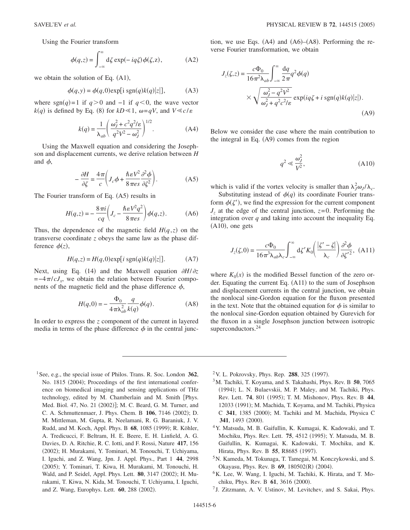$$
\phi(q,z) = \int_{-\infty}^{\infty} d\zeta \exp(-iq\zeta)\phi(\zeta, z), \tag{A2}
$$

we obtain the solution of Eq.  $(A1)$ ,

$$
\phi(q, y) = \phi(q, 0) \exp[i \text{ sgn}(q) k(q)|z|],
$$
 (A3)

where sgn(q)=1 if  $q > 0$  and  $-1$  if  $q < 0$ , the wave vector  $k(q)$  is defined by Eq. (8) for  $kD \ll 1$ ,  $\omega = qV$ , and  $V \ll c/\varepsilon$ 

$$
k(q) = \frac{1}{\lambda_{ab}} \left( \frac{\omega_J^2 + c^2 q^2 / \varepsilon}{q^2 V^2 - \omega_J^2} \right)^{1/2}.
$$
 (A4)

Using the Maxwell equation and considering the Josephson and displacement currents, we derive relation between *H* and  $\phi$ ,

$$
-\frac{\partial H}{\partial \zeta} = \frac{4\pi}{c} \left( J_c \phi + \frac{\hbar \varepsilon V^2}{8\pi \varepsilon s} \frac{\partial^2 \phi}{\partial \zeta^2} \right). \tag{A5}
$$

The Fourier transform of Eq.  $(A5)$  results in

$$
H(q,z) = -\frac{8\pi i}{cq} \left( J_c - \frac{\hbar \varepsilon V^2 q^2}{8\pi \varepsilon s} \right) \phi(q,z).
$$
 (A6)

Thus, the dependence of the magnetic field  $H(q, z)$  on the transverse coordinate *z* obeys the same law as the phase difference  $\phi(z)$ ,

$$
H(q, z) = H(q, 0) \exp[i \operatorname{sgn}(q) k(q)|z|].
$$
 (A7)

Next, using Eq. (14) and the Maxwell equation  $\partial H/\partial z$  $=-4\pi/cJ_x$ , we obtain the relation between Fourier components of the magnetic field and the phase difference  $\phi$ ,

$$
H(q,0) = -\frac{\Phi_0}{4\pi\lambda_{ab}^2} \frac{q}{k(q)} \phi(q).
$$
 (A8)

In order to express the *z* component of the current in layered media in terms of the phase difference  $\phi$  in the central junc-

tion, we use Eqs.  $(A4)$  and  $(A6)–(A8)$ . Performing the reverse Fourier transformation, we obtain

$$
J_z(\zeta, z) = \frac{c\Phi_0}{16\pi^2 \lambda_{ab}} \int_{-\infty}^{\infty} \frac{dq}{2\pi} q^2 \phi(q)
$$
  
 
$$
\times \sqrt{\frac{\omega_J^2 - q^2 V^2}{\omega_J^2 + q^2 c^2/\varepsilon}} \exp(iq\zeta + i \operatorname{sgn}(q)k(q)|z|).
$$
 (A9)

Below we consider the case where the main contribution to the integral in Eq. (A9) comes from the region

$$
q^2 \ll \frac{\omega_J^2}{V^2},\tag{A10}
$$

which is valid if the vortex velocity is smaller than  $\lambda_j^2 \omega_j / \lambda_c$ .

Substituting instead of  $\phi(q)$  its coordinate Fourier transform  $\phi(\zeta)$ , we find the expression for the current component  $J_z$  at the edge of the central junction,  $z=0$ . Performing the integration over *q* and taking into account the inequality Eq.  $(A10)$ , one gets

$$
J_z(\zeta,0) = \frac{c\Phi_0}{16\pi^3\lambda_{ab}\lambda_c} \int_{-\infty}^{\infty} d\zeta' K_0 \left(\frac{|\zeta' - \zeta|}{\lambda_c}\right) \frac{\partial^2 \phi}{\partial \zeta'^2},
$$
 (A11)

where  $K_0(x)$  is the modified Bessel function of the zero order. Equating the current Eq. (A11) to the sum of Josephson and displacement currents in the central junction, we obtain the nonlocal sine-Gordon equation for the fluxon presented in the text. Note that the obtained equation for  $\phi$  is similar to the nonlocal sine-Gordon equation obtained by Gurevich for the fluxon in a single Josephson junction between isotropic superconductors.<sup>24</sup>

1See, e.g., the special issue of Philos. Trans. R. Soc. London **362**, No. 1815 (2004); Proceedings of the first international conference on biomedical imaging and sensing applications of THz technology, edited by M. Chamberlain and M. Smith [Phys. Med. Biol. 47, No. 21 (2002)]; M. C. Beard, G. M. Turner, and C. A. Schmuttenmaer, J. Phys. Chem. B 106, 7146 (2002); D. M. Mittleman, M. Gupta, R. Neelamani, R. G. Baraniuk, J. V. Rudd, and M. Koch, Appl. Phys. B 68, 1085 (1999); R. Köhler, A. Tredicucci, F. Beltram, H. E. Beere, E. H. Linfield, A. G. Davies, D. A. Ritchie, R. C. Iotti, and F. Rossi, Nature **417**, 156 (2002); H. Murakami, Y. Tominari, M. Tonouchi, T. Uchiyama, I. Iguchi, and Z. Wang, Jpn. J. Appl. Phys., Part 1 **44**, 2998 (2005); Y. Tominari, T. Kiwa, H. Murakami, M. Tonouchi, H. Wald, and P. Seidel, Appl. Phys. Lett. 80, 3147 (2002); H. Murakami, T. Kiwa, N. Kida, M. Tonouchi, T. Uchiyama, I. Iguchi, and Z. Wang, Europhys. Lett. 60, 288 (2002).

<sup>2</sup> V. L. Pokrovsky, Phys. Rep. **288**, 325 (1997).

- 3M. Tachiki, T. Koyama, and S. Takahashi, Phys. Rev. B **50**, 7065 (1994); L. N. Bulaevskii, M. P. Maley, and M. Tachiki, Phys. Rev. Lett. 74, 801 (1995); T. M. Mishonov, Phys. Rev. B 44, 12033 (1991); M. Machida, T. Koyama, and M. Tachiki, Physica C 341, 1385 (2000); M. Tachiki and M. Machida, Physica C 341, 1493 (2000).
- 4Y. Matsuda, M. B. Gaifullin, K. Kumagai, K. Kadowaki, and T. Mochiku, Phys. Rev. Lett. 75, 4512 (1995); Y. Matsuda, M. B. Gaifullin, K. Kumagai, K. Kadowaki, T. Mochiku, and K. Hirata, Phys. Rev. B 55, R8685 (1997).
- 5N. Kameda, M. Tokunaga, T. Tamegai, M. Konczykowski, and S. Okayasu, Phys. Rev. B 69, 180502(R) (2004).
- 6K. Lee, W. Wang, I. Iguchi, M. Tachiki, K. Hirata, and T. Mochiku, Phys. Rev. B **61**, 3616 (2000).
- <sup>7</sup> J. Zitzmann, A. V. Ustinov, M. Levitchev, and S. Sakai, Phys.